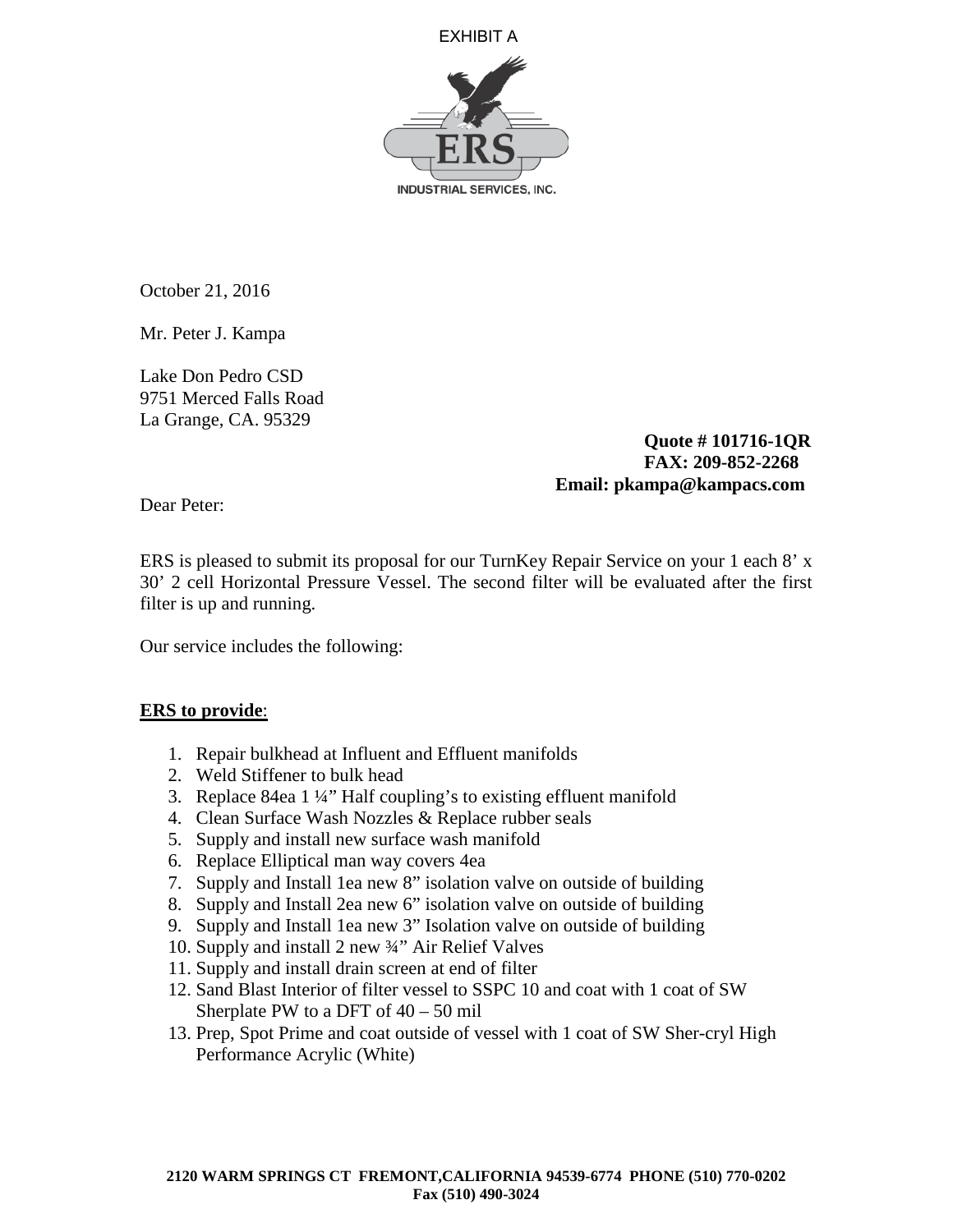



October 21, 2016

Mr. Peter J. Kampa

Lake Don Pedro CSD 9751 Merced Falls Road La Grange, CA. 95329

> **Quote # 101716-1QR FAX: 209-852-2268 Email: pkampa@kampacs.com**

Dear Peter:

ERS is pleased to submit its proposal for our TurnKey Repair Service on your 1 each 8' x 30' 2 cell Horizontal Pressure Vessel. The second filter will be evaluated after the first filter is up and running.

Our service includes the following:

## **ERS to provide**:

- 1. Repair bulkhead at Influent and Effluent manifolds
- 2. Weld Stiffener to bulk head
- 3. Replace 84ea 1 ¼" Half coupling's to existing effluent manifold
- 4. Clean Surface Wash Nozzles & Replace rubber seals
- 5. Supply and install new surface wash manifold
- 6. Replace Elliptical man way covers 4ea
- 7. Supply and Install 1ea new 8" isolation valve on outside of building
- 8. Supply and Install 2ea new 6" isolation valve on outside of building
- 9. Supply and Install 1ea new 3" Isolation valve on outside of building
- 10. Supply and install 2 new ¾" Air Relief Valves
- 11. Supply and install drain screen at end of filter
- 12. Sand Blast Interior of filter vessel to SSPC 10 and coat with 1 coat of SW Sherplate PW to a DFT of  $40 - 50$  mil
- 13. Prep, Spot Prime and coat outside of vessel with 1 coat of SW Sher-cryl High Performance Acrylic (White)